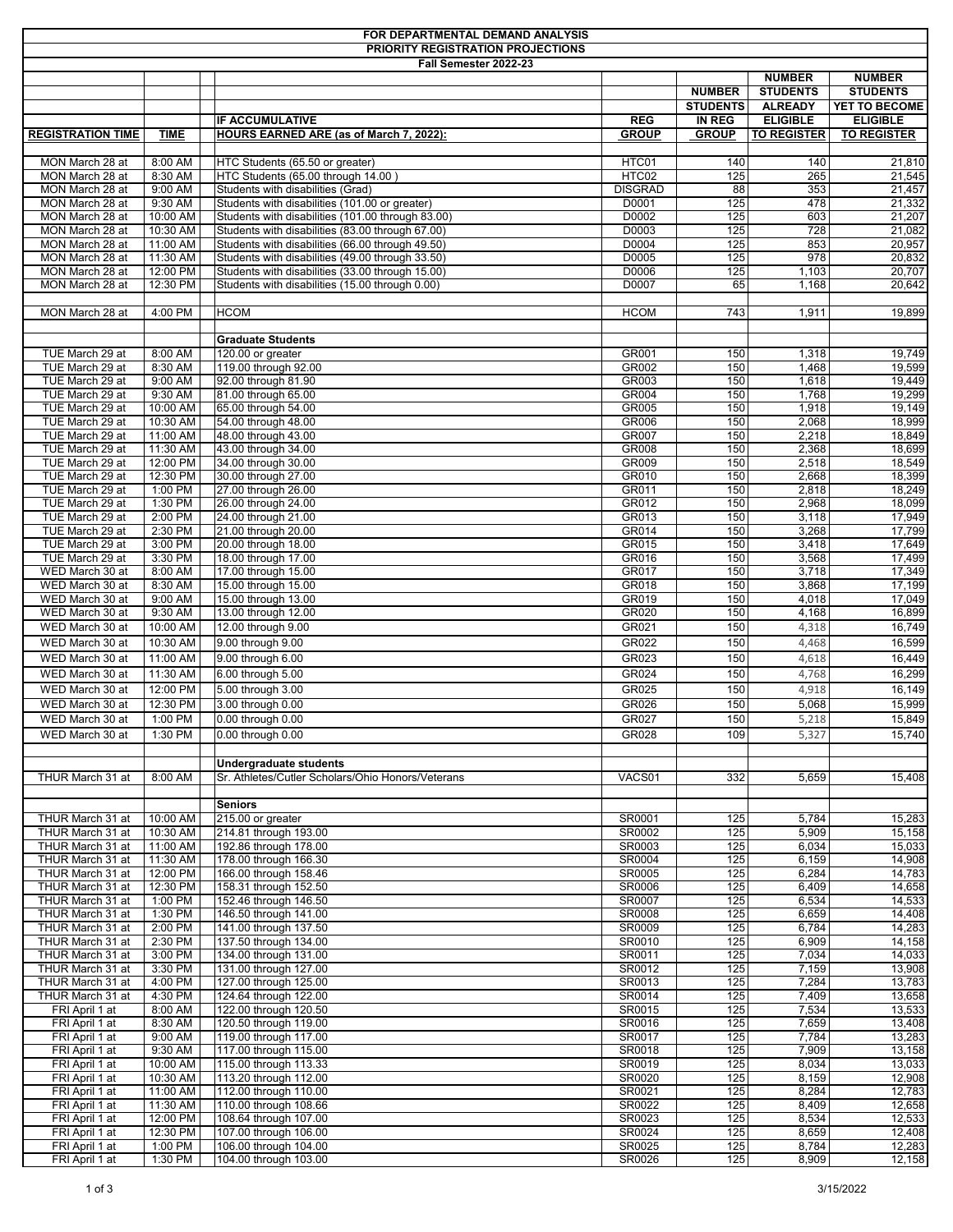|                                      |                      | FOR DEPARTMENTAL DEMAND ANALYSIS                                                    |                         |                  |                    |                    |
|--------------------------------------|----------------------|-------------------------------------------------------------------------------------|-------------------------|------------------|--------------------|--------------------|
|                                      |                      | PRIORITY REGISTRATION PROJECTIONS                                                   |                         |                  |                    |                    |
|                                      |                      | Fall Semester 2022-23                                                               |                         |                  | <b>NUMBER</b>      | <b>NUMBER</b>      |
|                                      |                      |                                                                                     |                         | <b>NUMBER</b>    | <b>STUDENTS</b>    | <b>STUDENTS</b>    |
|                                      |                      |                                                                                     |                         | <b>STUDENTS</b>  | <b>ALREADY</b>     | YET TO BECOME      |
|                                      |                      | <b>IF ACCUMULATIVE</b>                                                              | <b>REG</b>              | IN REG           | <b>ELIGIBLE</b>    | <b>ELIGIBLE</b>    |
| <b>REGISTRATION TIME</b>             | <b>TIME</b>          | HOURS EARNED ARE (as of March 7, 2022):                                             | <b>GROUP</b>            | <b>GROUP</b>     | <b>TO REGISTER</b> | <b>TO REGISTER</b> |
|                                      |                      |                                                                                     |                         |                  |                    |                    |
| MON March 28 at                      | 8:00 AM              | HTC Students (65.50 or greater)                                                     | HTC01                   | 140              | 140                | 21,810             |
| MON March 28 at                      | 8:30 AM              | HTC Students (65.00 through 14.00)                                                  | HTC02<br><b>DISGRAD</b> | 125              | 265<br>353         | 21,545             |
| MON March 28 at<br>MON March 28 at   | 9:00 AM<br>9:30 AM   | Students with disabilities (Grad)<br>Students with disabilities (101.00 or greater) | D0001                   | 88<br>125        | 478                | 21,457<br>21,332   |
| MON March 28 at                      | 10:00 AM             | Students with disabilities (101.00 through 83.00)                                   | D0002                   | 125              | 603                | 21,207             |
| MON March 28 at                      | 10:30 AM             | Students with disabilities (83.00 through 67.00)                                    | D0003                   | 125              | 728                | 21,082             |
| MON March 28 at                      | 11:00 AM             | Students with disabilities (66.00 through 49.50)                                    | D0004                   | 125              | 853                | 20,957             |
| MON March 28 at                      | 11:30 AM             | Students with disabilities (49.00 through 33.50)                                    | D0005                   | $\overline{125}$ | 978                | 20,832             |
| MON March 28 at                      | 12:00 PM             | Students with disabilities (33.00 through 15.00)                                    | D0006                   | 125              | 1,103              | 20,707             |
| MON March 28 at                      | 12:30 PM             | Students with disabilities (15.00 through 0.00)                                     | D0007                   | 65               | 1,168              | 20,642             |
| MON March 28 at                      | 4:00 PM              | <b>HCOM</b>                                                                         | <b>HCOM</b>             | 743              | 1,911              | 19,899             |
|                                      |                      |                                                                                     |                         |                  |                    |                    |
|                                      |                      | <b>Graduate Students</b>                                                            |                         |                  |                    |                    |
| TUE March 29 at                      | 8:00 AM              | 120.00 or greater                                                                   | GR001                   | 150              | 1,318              | 19.749             |
| TUE March 29 at                      | 8:30 AM              | 119.00 through 92.00                                                                | GR002                   | 150              | 1,468              | 19,599             |
| TUE March 29 at                      | 9:00 AM              | 92.00 through 81.90                                                                 | GR003                   | 150              | 1,618              | 19,449             |
| TUE March 29 at                      | 9:30 AM              | 81.00 through 65.00                                                                 | GR004                   | 150              | 1,768              | 19,299             |
| TUE March 29 at                      | 10:00 AM             | 65.00 through 54.00                                                                 | GR005                   | 150              | 1,918              | 19,149             |
| TUE March 29 at                      | 10:30 AM             | 54.00 through 48.00                                                                 | GR006                   | 150              | 2,068              | 18,999             |
| TUE March 29 at<br>TUE March 29 at   | 11:00 AM<br>11:30 AM | 48.00 through 43.00<br>43.00 through 34.00                                          | GR007<br><b>GR008</b>   | 150<br>150       | 2,218<br>2,368     | 18,849<br>18,699   |
| TUE March 29 at                      | 12:00 PM             | 34.00 through 30.00                                                                 | GR009                   | 150              | 2,518              | 18,549             |
| TUE March 29 at                      | 12:30 PM             | 30.00 through 27.00                                                                 | GR010                   | 150              | 2,668              | 18,399             |
| TUE March 29 at                      | 1:00 PM              | 27.00 through 26.00                                                                 | GR011                   | 150              | 2,818              | 18,249             |
| TUE March 29 at                      | 1:30 PM              | 26.00 through 24.00                                                                 | GR012                   | 150              | 2,968              | 18,099             |
| TUE March 29 at                      | 2:00 PM              | 24.00 through 21.00                                                                 | GR013                   | 150              | 3,118              | 17,949             |
| TUE March 29 at                      | 2:30 PM              | 21.00 through 20.00                                                                 | GR014                   | 150              | 3,268              | 17,799             |
| TUE March 29 at                      | 3:00 PM              | 20.00 through 18.00                                                                 | GR015                   | 150              | 3,418              | 17,649             |
| TUE March 29 at                      | 3:30 PM              | 18.00 through 17.00                                                                 | GR016                   | 150              | 3,568              | 17,499             |
| WED March 30 at                      | 8:00 AM              | 17.00 through 15.00                                                                 | GR017                   | 150              | 3,718              | 17,349             |
| WED March 30 at                      | 8:30 AM              | 15.00 through 15.00                                                                 | GR018                   | 150              | 3,868              | 17,199             |
| WED March 30 at                      | 9:00 AM<br>9:30 AM   | 15.00 through 13.00<br>13.00 through 12.00                                          | GR019<br>GR020          | 150<br>150       | 4,018<br>4,168     | 17,049<br>16,899   |
| WED March 30 at<br>WED March 30 at   | 10:00 AM             | 12.00 through 9.00                                                                  | GR021                   | 150              | 4,318              | 16,749             |
| WED March 30 at                      |                      | 9.00 through 9.00                                                                   | GR022                   |                  |                    |                    |
|                                      | 10:30 AM             |                                                                                     |                         | 150              | 4,468              | 16,599             |
| WED March 30 at                      | 11:00 AM             | 9.00 through 6.00                                                                   | GR023                   | 150              | 4,618              | 16,449             |
| WED March 30 at                      | 11:30 AM             | 6.00 through 5.00                                                                   | GR024                   | 150              | 4,768              | 16,299             |
| WED March 30 at                      | 12:00 PM             | 5.00 through 3.00                                                                   | GR025                   | 150              | 4,918              | 16,149             |
| WED March 30 at                      | 12:30 PM             | 3.00 through 0.00                                                                   | GR026                   | 150              | 5,068              | 15,999             |
| WED March 30 at                      | 1:00 PM              | 0.00 through 0.00                                                                   | GR027                   | 150              | 5,218              | 15,849             |
| WED March 30 at                      | 1:30 PM              | 0.00 through 0.00                                                                   | GR028                   | 109              | 5,327              | 15,740             |
|                                      |                      | <b>Undergraduate students</b>                                                       |                         |                  |                    |                    |
| THUR March 31 at                     | 8:00 AM              | Sr. Athletes/Cutler Scholars/Ohio Honors/Veterans                                   | VACS01                  | 332              | 5,659              | 15,408             |
|                                      |                      |                                                                                     |                         |                  |                    |                    |
|                                      |                      | <b>Seniors</b>                                                                      |                         |                  |                    |                    |
| THUR March 31 at                     | 10:00 AM             | 215.00 or greater                                                                   | SR0001                  | 125              | 5,784              | 15,283             |
| THUR March 31 at                     | 10:30 AM             | 214.81 through 193.00                                                               | SR0002                  | 125              | 5,909              | 15,158             |
| THUR March 31 at                     | 11:00 AM             | 192.86 through 178.00                                                               | SR0003                  | 125              | 6,034              | 15,033             |
| THUR March 31 at                     | 11:30 AM             | 178.00 through 166.30                                                               | SR0004                  | 125              | 6,159              | 14.908             |
| THUR March 31 at<br>THUR March 31 at | 12:00 PM<br>12:30 PM | 166.00 through 158.46<br>158.31 through 152.50                                      | SR0005<br>SR0006        | 125<br>125       | 6,284<br>6,409     | 14,783<br>14,658   |
| THUR March 31 at                     | 1:00 PM              | 152.46 through 146.50                                                               | SR0007                  | 125              | 6,534              | 14,533             |
| THUR March 31 at                     | 1:30 PM              | 146.50 through 141.00                                                               | SR0008                  | 125              | 6,659              | 14,408             |
| THUR March 31 at                     | 2:00 PM              | 141.00 through 137.50                                                               | SR0009                  | 125              | 6,784              | 14,283             |
| THUR March 31 at                     | 2:30 PM              | 137.50 through 134.00                                                               | SR0010                  | 125              | 6,909              | 14,158             |
| THUR March 31 at                     | 3:00 PM              | 134.00 through 131.00                                                               | SR0011                  | 125              | 7,034              | 14,033             |
| THUR March 31 at                     | 3:30 PM              | 131.00 through 127.00                                                               | SR0012                  | 125              | 7,159              | 13,908             |
| THUR March 31 at                     | 4:00 PM              | 127.00 through 125.00                                                               | SR0013                  | 125              | 7,284              | 13,783             |
| THUR March 31 at                     | 4:30 PM              | 124.64 through 122.00                                                               | SR0014                  | 125              | 7,409              | 13,658             |
| FRI April 1 at                       | 8:00 AM              | 122.00 through 120.50                                                               | SR0015                  | 125              | 7,534              | 13,533             |
| FRI April 1 at                       | 8:30 AM              | 120.50 through 119.00                                                               | SR0016                  | 125              | 7,659              | 13,408             |
| FRI April 1 at<br>FRI April 1 at     | 9:00 AM<br>9:30 AM   | 119.00 through 117.00<br>117.00 through 115.00                                      | SR0017<br>SR0018        | 125<br>125       | 7,784<br>7,909     | 13,283<br>13,158   |
| FRI April 1 at                       | 10:00 AM             | 115.00 through 113.33                                                               | SR0019                  | 125              | 8,034              | 13,033             |
| FRI April 1 at                       | 10:30 AM             | 113.20 through 112.00                                                               | SR0020                  | 125              | 8,159              | 12,908             |
| FRI April 1 at                       | 11:00 AM             | 112.00 through 110.00                                                               | SR0021                  | 125              | 8,284              | 12,783             |
| FRI April 1 at                       | 11:30 AM             | 110.00 through 108.66                                                               | SR0022                  | 125              | 8,409              | 12,658             |
| FRI April 1 at                       | 12:00 PM             | 108.64 through 107.00                                                               | SR0023                  | 125              | 8,534              | 12,533             |
| FRI April 1 at                       | 12:30 PM             | 107.00 through 106.00                                                               | SR0024                  | 125              | 8,659              | 12,408             |
| FRI April 1 at                       | 1:00 PM              | 106.00 through 104.00                                                               | SR0025                  | 125              | 8,784              | 12,283             |
| FRI April 1 at                       | 1:30 PM              | 104.00 through 103.00                                                               | SR0026                  | 125              | 8,909              | 12,158             |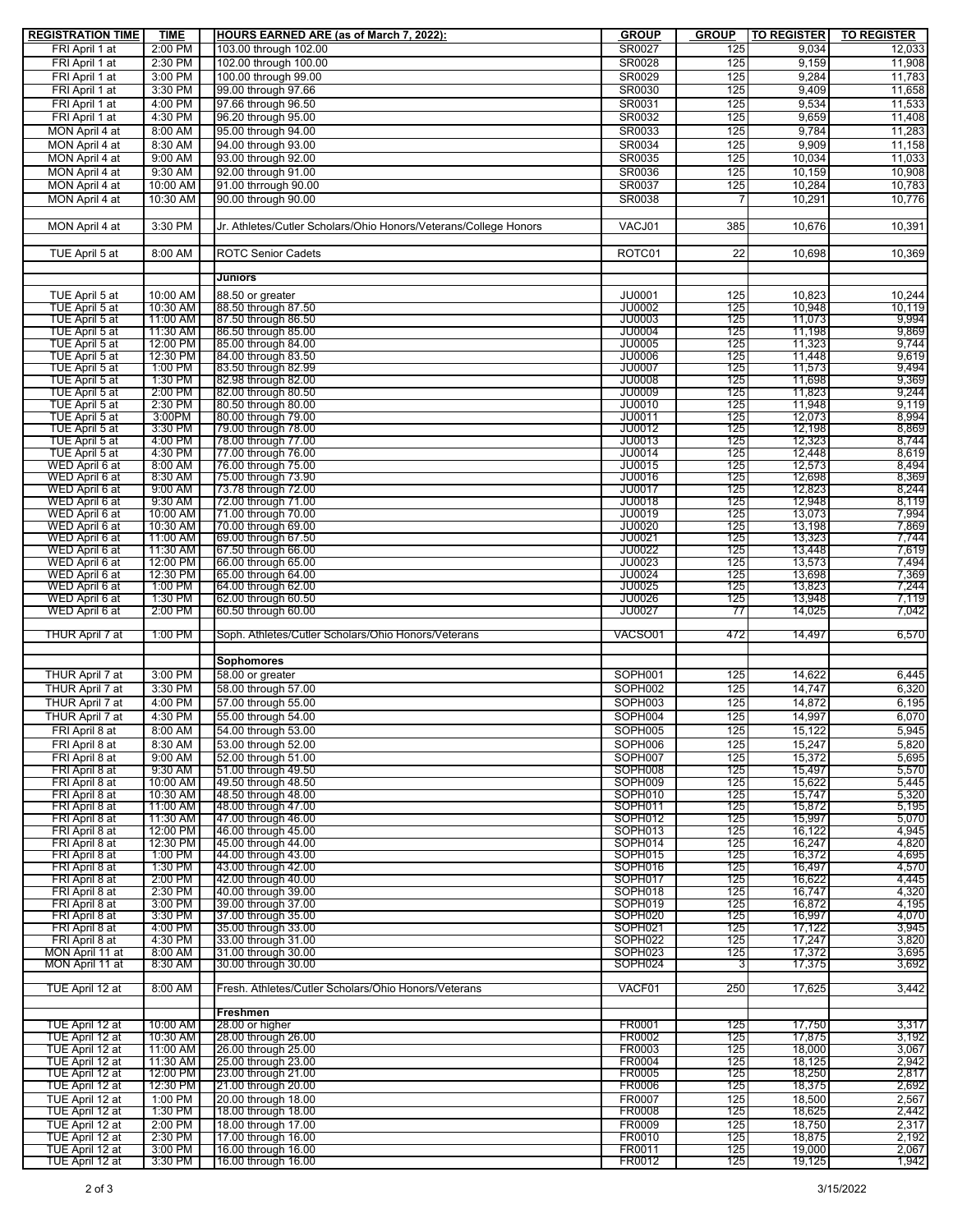| <b>REGISTRATION TIME</b>                  | <b>TIME</b>          | HOURS EARNED ARE (as of March 7, 2022):                          | <b>GROUP</b>                   | <b>GROUP</b>     | <b>TO REGISTER</b> | <b>TO REGISTER</b> |
|-------------------------------------------|----------------------|------------------------------------------------------------------|--------------------------------|------------------|--------------------|--------------------|
| FRI April 1 at                            | 2:00 PM              | 103.00 through 102.00                                            | SR0027                         | 125              | 9,034              | 12,033             |
| FRI April 1 at                            | 2:30 PM              | 102.00 through 100.00                                            | SR0028                         | 125              | 9,159              | 11,908             |
| FRI April 1 at                            | 3:00 PM              | 100.00 through 99.00                                             | SR0029                         | 125              | 9,284              | 11,783             |
| FRI April 1 at                            | 3:30 PM              | 99.00 through 97.66                                              | SR0030                         | $\overline{125}$ | 9,409              | 11,658             |
| FRI April 1 at                            | 4:00 PM              | 97.66 through 96.50                                              | SR0031                         | 125              | 9,534              | 11,533             |
| FRI April 1 at                            | 4:30 PM              | 96.20 through 95.00                                              | SR0032                         | 125              | 9,659              | 11,408             |
| MON April 4 at                            | 8:00 AM              | 95.00 through 94.00                                              | SR0033                         | 125              | 9,784              | 11,283             |
| MON April 4 at                            | 8:30 AM              | 94.00 through 93.00                                              | SR0034                         | 125              | 9,909              | 11,158             |
| MON April 4 at                            | 9:00 AM              | 93.00 through 92.00                                              | SR0035                         | 125              | 10,034             | 11,033             |
| MON April 4 at                            | 9:30 AM              | 92.00 through 91.00                                              | SR0036                         | 125              | 10,159             | 10,908             |
| MON April 4 at                            | 10:00 AM             | 91.00 thrrough 90.00                                             | SR0037                         | 125              | 10,284             | 10,783             |
| MON April 4 at                            | 10:30 AM             | 90.00 through 90.00                                              | SR0038                         | $\overline{7}$   | 10,291             | 10,776             |
|                                           |                      |                                                                  |                                |                  |                    |                    |
| MON April 4 at                            | 3:30 PM              | Jr. Athletes/Cutler Scholars/Ohio Honors/Veterans/College Honors | VACJ01                         | 385              | 10,676             | 10,391             |
|                                           |                      |                                                                  |                                |                  |                    |                    |
| TUE April 5 at                            | 8:00 AM              | <b>ROTC Senior Cadets</b>                                        | ROTC01                         | 22               | 10,698             | 10,369             |
|                                           |                      | <b>Juniors</b>                                                   |                                |                  |                    |                    |
|                                           |                      |                                                                  |                                |                  |                    |                    |
| TUE April 5 at                            | 10:00 AM             | 88.50 or greater                                                 | JU0001                         | 125              | 10,823             | 10,244             |
| TUE April 5 at<br><b>TUE April 5 at</b>   | 10:30 AM<br>11:00 AM | 88.50 through 87.50<br>87.50 through 86.50                       | JU0002<br>JU0003               | 125              | 10,948<br>11,073   | 10,119<br>9,994    |
| <b>TUE April 5 at</b>                     | 11:30 AM             | 86.50 through 85.00                                              | <b>JU0004</b>                  | 125<br>125       | 11,198             | 9,869              |
| <b>TUE April 5 at</b>                     | 12:00 PM             | 85.00 through 84.00                                              | <b>JU0005</b>                  | 125              | 11,323             | 9,744              |
| TUE April 5 at                            | 12:30 PM             | 84.00 through 83.50                                              | JU0006                         | 125              | 11,448             | 9,619              |
| <b>TUE April 5 at</b>                     | 1:00 PM              | 83.50 through 82.99                                              | <b>JU0007</b>                  | 125              | 11,573             | 9,494              |
| <b>TUE April 5 at</b>                     | 1:30 PM              | 82.98 through 82.00                                              | JU0008                         | 125              | 11,698             | 9,369              |
| <b>TUE April 5 at</b>                     | 2:00 PM              | 82.00 through 80.50                                              | JU0009                         | 125              | 11,823             | 9,244              |
| <b>TUE April 5 at</b>                     | 2:30 PM              | 80.50 through 80.00                                              | JU0010                         | 125              | 11,948             | 9,119              |
| <b>TUE April 5 at</b><br>TUE April 5 at   | 3:00PM<br>3:30 PM    | 80.00 through 79.00<br>79.00 through 78.00                       | <b>JU0011</b><br>JU0012        | 125<br>125       | 12,073<br>12,198   | 8,994<br>8,869     |
| <b>TUE April 5 at</b>                     | 4:00 PM              | 78.00 through 77.00                                              | JU0013                         | 125              | 12,323             | 8,744              |
| <b>TUE April 5 at</b>                     | 4:30 PM              | 77.00 through 76.00                                              | JU0014                         | 125              | 12,448             | 8,619              |
| WED April 6 at                            | 8:00 AM              | 76.00 through 75.00                                              | JU0015                         | 125              | 12,573             | 8,494              |
| WED April 6 at                            | 8:30 AM              | 75.00 through 73.90                                              | JU0016                         | 125              | 12,698             | 8,369              |
| WED April 6 at                            | 9:00 AM              | 73.78 through 72.00                                              | JU0017                         | 125              | 12,823             | 8,244              |
| WED April 6 at                            | 9:30 AM              | 72.00 through 71.00                                              | JU0018                         | 125              | 12,948             | 8,119              |
| WED April 6 at<br>WED April 6 at          | 10:00 AM<br>10:30 AM | 71.00 through 70.00<br>70.00 through 69.00                       | JU0019<br>JU0020               | 125<br>125       | 13,073<br>13,198   | 7,994<br>7,869     |
| WED April 6 at                            | 11:00 AM             | 69.00 through 67.50                                              | JU0021                         | 125              | 13,323             | 7,744              |
| WED April 6 at                            | 11:30 AM             | 67.50 through 66.00                                              | JU0022                         | 125              | 13,448             | 7,619              |
| WED April 6 at                            | 12:00 PM             | 66.00 through 65.00                                              | JU0023                         | 125              | 13,573             | 7,494              |
| WED April 6 at                            | 12:30 PM             | 65.00 through 64.00                                              | JU0024                         | 125              | 13,698             | 7,369              |
| WED April 6 at                            | 1:00 PM              | 64.00 through 62.00                                              | JU0025                         | 125              | 13,823             | 7,244              |
| WED April 6 at                            | 1:30 PM              | 62.00 through 60.50                                              | <b>JU0026</b>                  | 125              | 13,948             | 7,119              |
| WED April 6 at                            | 2:00 PM              | 60.50 through 60.00                                              | JU0027                         | 77               | 14,025             | 7,042              |
| THUR April 7 at                           | 1:00 PM              | Soph, Athletes/Cutler Scholars/Ohio Honors/Veterans              | VACSO01                        | 472              | 14,497             | 6,570              |
|                                           |                      |                                                                  |                                |                  |                    |                    |
|                                           |                      | <b>Sophomores</b>                                                |                                |                  |                    |                    |
| THUR April 7 at                           | 3:00 PM              | 58.00 or greater                                                 | SOPH001                        | 125              | 14,622             | 6,445              |
| THUR April 7 at                           | 3:30 PM              | 58.00 through 57.00                                              | SOPH002                        | 125              | 14,747             | 6,320              |
| THUR April 7 at                           | 4:00 PM              | 57.00 through 55.00                                              | SOPH003                        | 125              | 14,872             | 6,195              |
| THUR April 7 at                           | 4:30 PM              | 55.00 through 54.00                                              | SOPH004                        | 125              | 14,997             | 6,070              |
| FRI April 8 at                            | 8:00 AM              | 54.00 through 53.00                                              | SOPH005                        | 125              | 15,122             | 5,945              |
| FRI April 8 at                            | 8:30 AM              | 53.00 through 52.00                                              | SOPH006                        | 125              | 15,247             | 5,820              |
| FRI April 8 at                            | 9:00 AM              | 52.00 through 51.00                                              | SOPH007                        | 125              | 15,372             | 5,695              |
| FRI April 8 at                            | 9:30 AM              | 51.00 through 49.50                                              | SOPH008                        | 125              | 15,497             | 5,570              |
| FRI April 8 at                            | 10:00 AM             | 49.50 through 48.50                                              | SOPH009                        | 125              | 15,622             | 5,445              |
| FRI April 8 at                            | 10:30 AM             | 48.50 through 48.00                                              | SOPH010                        | 125              | 15,747             | 5,320              |
| FRI April 8 at                            | 11:00 AM             | 48.00 through 47.00                                              | SOPH011                        | 125              | 15,872             | 5,195              |
| FRI April 8 at<br>FRI April 8 at          | 11:30 AM<br>12:00 PM | 47.00 through 46.00<br>46.00 through 45.00                       | SOPH012<br>SOPH013             | 125<br>125       | 15,997<br>16,122   | 5,070<br>4,945     |
| FRI April 8 at                            | 12:30 PM             | 45.00 through 44.00                                              | SOPH014                        | 125              | 16,247             | 4,820              |
| FRI April 8 at                            | 1:00 PM              | 44.00 through 43.00                                              | SOPH015                        | 125              | 16,372             | 4,695              |
| FRI April 8 at                            | 1:30 PM              | 43.00 through 42.00                                              | SOPH016                        | 125              | 16,497             | 4,570              |
| FRI April 8 at                            | 2:00 PM              | 42.00 through 40.00                                              | SOPH017                        | 125              | 16,622             | 4,445              |
| FRI April 8 at<br>FRI April 8 at          | 2:30 PM              | 40.00 through 39.00                                              | SOPH018                        | 125              | 16,747             | 4,320              |
| FRI April 8 at                            | 3:00 PM<br>3:30 PM   | 39.00 through 37.00<br>37.00 through 35.00                       | SOPH019<br>SOPH <sub>020</sub> | 125<br>125       | 16,872<br>16,997   | 4,195<br>4,070     |
| FRI April 8 at                            | 4:00 PM              | 35.00 through 33.00                                              | SOPH021                        | 125              | 17,122             | 3,945              |
| FRI April 8 at                            | 4:30 PM              | 33.00 through 31.00                                              | SOPH <sub>022</sub>            | 125              | 17,247             | 3,820              |
| MON April 11 at                           | 8:00 AM              | 31.00 through 30.00                                              | SOPH023                        | 125              | 17,372             | 3,695              |
| MON April 11 at                           | 8:30 AM              | 30.00 through 30.00                                              | SOPH <sub>024</sub>            | 3                | 17,375             | 3,692              |
|                                           |                      |                                                                  |                                |                  |                    |                    |
| TUE April 12 at                           | 8:00 AM              | Fresh. Athletes/Cutler Scholars/Ohio Honors/Veterans             | VACF01                         | 250              | 17,625             | 3,442              |
|                                           |                      | Freshmen                                                         |                                |                  |                    |                    |
| TUE April 12 at                           | 10:00 AM             | 28.00 or higher                                                  | FR0001                         | 125              | 17,750             | 3,317              |
| TUE April 12 at                           | 10:30 AM             | 28.00 through 26.00                                              | <b>FR0002</b>                  | 125              | 17,875             | 3,192              |
| TUE April 12 at                           | 11:00 AM             | 26.00 through 25.00                                              | FR0003                         | 125              | 18,000             | 3,067              |
| TUE April 12 at                           | 11:30 AM             | 25.00 through 23.00                                              | <b>FR0004</b>                  | 125              | 18,125             | 2,942              |
| TUE April 12 at                           | 12:00 PM             | 23.00 through 21.00                                              | <b>FR0005</b>                  | 125              | 18,250             | 2,817              |
| TUE April 12 at                           | 12:30 PM             | 21.00 through 20.00                                              | FR0006                         | 125              | 18,375             | 2,692              |
| TUE April 12 at<br><b>TUE April 12 at</b> | 1:00 PM<br>1:30 PM   | 20.00 through 18.00<br>18.00 through 18.00                       | FR0007<br><b>FR0008</b>        | 125<br>125       | 18,500<br>18,625   | 2,567<br>2,442     |
| TUE April 12 at                           | 2:00 PM              | 18.00 through 17.00                                              | FR0009                         | 125              | 18,750             | 2,317              |
| TUE April 12 at                           | 2:30 PM              | 17.00 through 16.00                                              | FR0010                         | 125              | 18,875             | 2,192              |
| TUE April 12 at                           | 3:00 PM              | 16.00 through 16.00                                              | FR0011                         | 125              | 19,000             | 2,067              |
| TUE April 12 at                           | 3:30 PM              | 16.00 through 16.00                                              | FR0012                         | 125              | 19,125             | 1,942              |